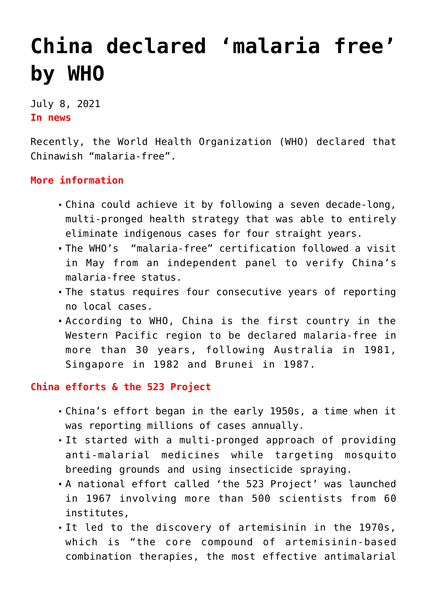# **[China declared 'malaria free'](https://journalsofindia.com/china-declared-malaria-free-by-who/) [by WHO](https://journalsofindia.com/china-declared-malaria-free-by-who/)**

July 8, 2021 **In news**

Recently, the World Health Organization (WHO) declared that Chinawish "malaria-free".

# **More information**

- China could achieve it by following a seven decade-long, multi-pronged health strategy that was able to entirely eliminate indigenous cases for four straight years.
- The WHO's "malaria-free" certification followed a visit in May from an independent panel to verify China's malaria-free status.
- The status requires four consecutive years of reporting no local cases.
- According to WHO, China is the first country in the Western Pacific region to be declared malaria-free in more than 30 years, following Australia in 1981, Singapore in 1982 and Brunei in 1987.

# **China efforts & the 523 Project**

- China's effort began in the early 1950s, a time when it was reporting millions of cases annually.
- It started with a multi-pronged approach of providing anti-malarial medicines while targeting mosquito breeding grounds and using insecticide spraying.
- A national effort called 'the 523 Project' was launched in 1967 involving more than 500 scientists from 60 institutes,
- It led to the discovery of artemisinin in the 1970s, which is "the core compound of artemisinin-based combination therapies, the most effective antimalarial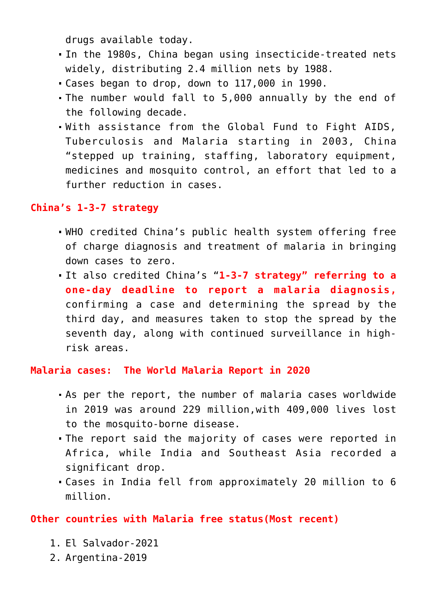drugs available today.

- In the 1980s, China began using insecticide-treated nets widely, distributing 2.4 million nets by 1988.
- Cases began to drop, down to 117,000 in 1990.
- The number would fall to 5,000 annually by the end of the following decade.
- With assistance from the Global Fund to Fight AIDS, Tuberculosis and Malaria starting in 2003, China "stepped up training, staffing, laboratory equipment, medicines and mosquito control, an effort that led to a further reduction in cases.

### **China's 1-3-7 strategy**

- WHO credited China's public health system offering free of charge diagnosis and treatment of malaria in bringing down cases to zero.
- It also credited China's "**1-3-7 strategy" referring to a one-day deadline to report a malaria diagnosis,** confirming a case and determining the spread by the third day, and measures taken to stop the spread by the seventh day, along with continued surveillance in highrisk areas.

### **Malaria cases: The World Malaria Report in 2020**

- As per the report, the number of malaria cases worldwide in 2019 was around 229 million,with 409,000 lives lost to the mosquito-borne disease.
- The report said the majority of cases were reported in Africa, while India and Southeast Asia recorded a significant drop.
- Cases in India fell from approximately 20 million to 6 million.

# **Other countries with Malaria free status(Most recent)**

- 1. El Salvador-2021
- 2. Argentina-2019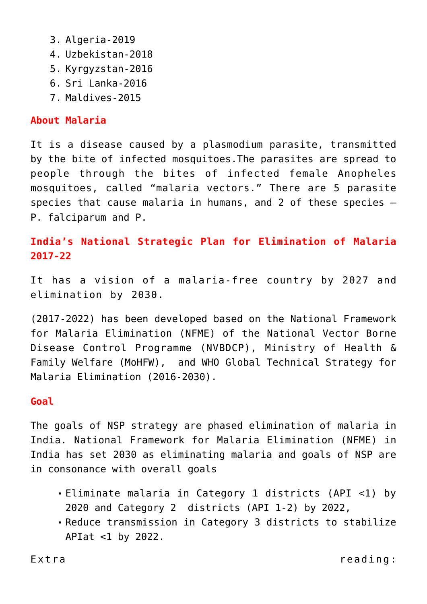- 3. Algeria-2019
- 4. Uzbekistan-2018
- 5. Kyrgyzstan-2016
- 6. Sri Lanka-2016
- 7. Maldives-2015

# **About Malaria**

It is a disease caused by a plasmodium parasite, transmitted by the bite of infected mosquitoes.The parasites are spread to people through the bites of infected female Anopheles mosquitoes, called "malaria vectors." There are 5 parasite species that cause malaria in humans, and 2 of these species – P. falciparum and P.

**India's National Strategic Plan for Elimination of Malaria 2017-22**

It has a vision of a malaria-free country by 2027 and elimination by 2030.

(2017-2022) has been developed based on the National Framework for Malaria Elimination (NFME) of the National Vector Borne Disease Control Programme (NVBDCP), Ministry of Health & Family Welfare (MoHFW), and WHO Global Technical Strategy for Malaria Elimination (2016-2030).

### **Goal**

The goals of NSP strategy are phased elimination of malaria in India. National Framework for Malaria Elimination (NFME) in India has set 2030 as eliminating malaria and goals of NSP are in consonance with overall goals

- Eliminate malaria in Category 1 districts (API <1) by 2020 and Category 2 districts (API 1-2) by 2022,
- Reduce transmission in Category 3 districts to stabilize APIat  $<1$  by 2022.

Extra reading: